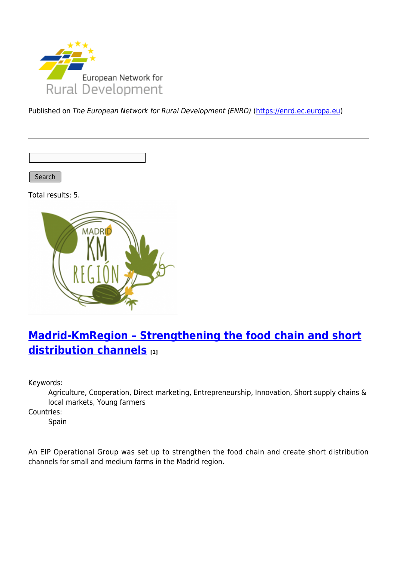

Published on The European Network for Rural Development (ENRD) [\(https://enrd.ec.europa.eu](https://enrd.ec.europa.eu))

Search

Total results: 5.



# **[Madrid-KmRegion – Strengthening the food chain and short](https://enrd.ec.europa.eu/projects-practice/madrid-kmregion-strengthening-food-chain-and-short-distribution-channels_en) [distribution channels](https://enrd.ec.europa.eu/projects-practice/madrid-kmregion-strengthening-food-chain-and-short-distribution-channels_en) [1]**

Keywords:

Agriculture, Cooperation, Direct marketing, Entrepreneurship, Innovation, Short supply chains & local markets, Young farmers

Countries:

Spain

An EIP Operational Group was set up to strengthen the food chain and create short distribution channels for small and medium farms in the Madrid region.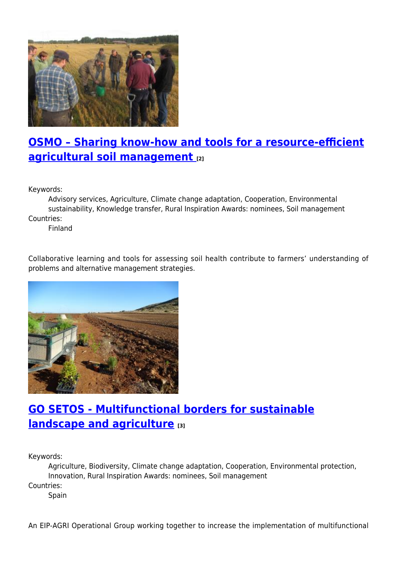

### **[OSMO – Sharing know-how and tools for a resource-efficient](https://enrd.ec.europa.eu/projects-practice/osmo-sharing-know-how-and-tools-resource-efficient-agricultural-soil-management_en) [agricultural soil management](https://enrd.ec.europa.eu/projects-practice/osmo-sharing-know-how-and-tools-resource-efficient-agricultural-soil-management_en) [2]**

Keywords:

Advisory services, Agriculture, Climate change adaptation, Cooperation, Environmental sustainability, Knowledge transfer, Rural Inspiration Awards: nominees, Soil management Countries:

Finland

Collaborative learning and tools for assessing soil health contribute to farmers' understanding of problems and alternative management strategies.



## **[GO SETOS - Multifunctional borders for sustainable](https://enrd.ec.europa.eu/projects-practice/go-setos-multifunctional-borders-sustainable-landscape-and-agriculture_en) [landscape and agriculture](https://enrd.ec.europa.eu/projects-practice/go-setos-multifunctional-borders-sustainable-landscape-and-agriculture_en) [3]**

Keywords:

Agriculture, Biodiversity, Climate change adaptation, Cooperation, Environmental protection, Innovation, Rural Inspiration Awards: nominees, Soil management Countries:

Spain

An EIP-AGRI Operational Group working together to increase the implementation of multifunctional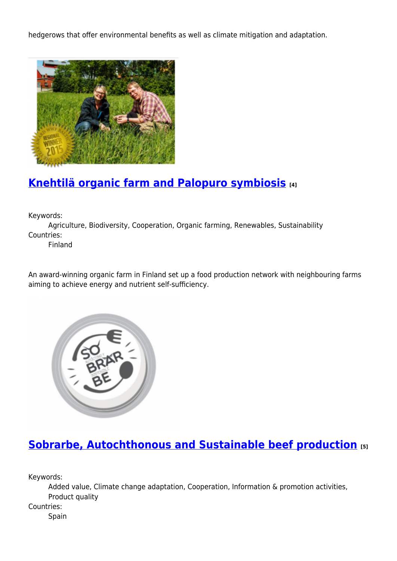hedgerows that offer environmental benefits as well as climate mitigation and adaptation.



### **[Knehtilä organic farm and Palopuro symbiosis](https://enrd.ec.europa.eu/projects-practice/knehtila-organic-farm-and-palopuro-symbiosis_en) [4]**

Keywords:

Agriculture, Biodiversity, Cooperation, Organic farming, Renewables, Sustainability Countries:

Finland

An award-winning organic farm in Finland set up a food production network with neighbouring farms aiming to achieve energy and nutrient self-sufficiency.



### **[Sobrarbe, Autochthonous and Sustainable beef production](https://enrd.ec.europa.eu/projects-practice/sobrarbe-autochthonous-and-sustainable-beef-production_en) [5]**

Keywords:

Added value, Climate change adaptation, Cooperation, Information & promotion activities, Product quality

Countries:

Spain